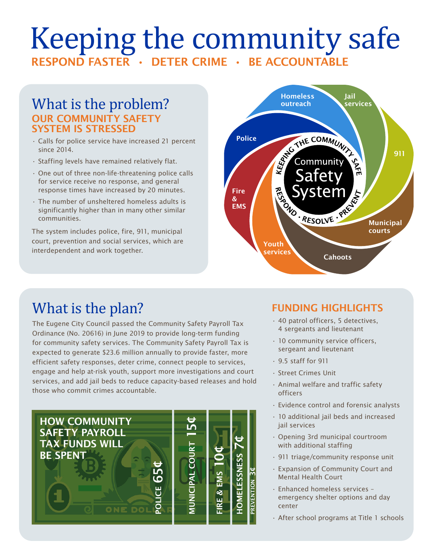# Keeping the community safe RESPOND FASTER • DETER CRIME • BE ACCOUNTABLE

### What is the problem? OUR COMMUNITY SAFETY SYSTEM IS STRESSED

- Calls for police service have increased 21 percent since 2014.
- Staffing levels have remained relatively flat.
- One out of three non-life-threatening police calls for service receive no response, and general response times have increased by 20 minutes.
- The number of unsheltered homeless adults is significantly higher than in many other similar communities.

The system includes police, fire, 911, municipal court, prevention and social services, which are interdependent and work together.



# What is the plan?

The Eugene City Council passed the Community Safety Payroll Tax Ordinance (No. 20616) in June 2019 to provide long-term funding for community safety services. The Community Safety Payroll Tax is expected to generate \$23.6 million annually to provide faster, more efficient safety responses, deter crime, connect people to services, engage and help at-risk youth, support more investigations and court services, and add jail beds to reduce capacity-based releases and hold those who commit crimes accountable.



### FUNDING HIGHLIGHTS

- 40 patrol officers, 5 detectives, 4 sergeants and lieutenant
- 10 community service officers, sergeant and lieutenant
- 9.5 staff for 911
- Street Crimes Unit
- Animal welfare and traffic safety officers
- Evidence control and forensic analysts
- 10 additional jail beds and increased jail services
- Opening 3rd municipal courtroom with additional staffing
- 911 triage/community response unit
- Expansion of Community Court and Mental Health Court
- Enhanced homeless services emergency shelter options and day center
- After school programs at Title 1 schools